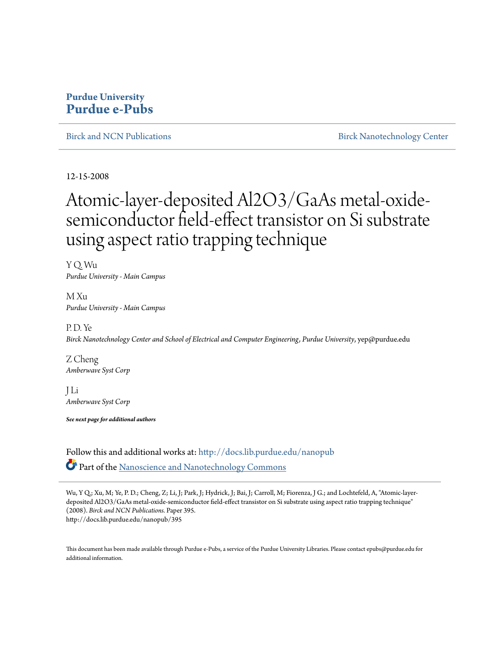## **Purdue University [Purdue e-Pubs](http://docs.lib.purdue.edu?utm_source=docs.lib.purdue.edu%2Fnanopub%2F395&utm_medium=PDF&utm_campaign=PDFCoverPages)**

[Birck and NCN Publications](http://docs.lib.purdue.edu/nanopub?utm_source=docs.lib.purdue.edu%2Fnanopub%2F395&utm_medium=PDF&utm_campaign=PDFCoverPages) **[Birck Nanotechnology Center](http://docs.lib.purdue.edu/nano?utm_source=docs.lib.purdue.edu%2Fnanopub%2F395&utm_medium=PDF&utm_campaign=PDFCoverPages)** 

12-15-2008

# Atomic-layer-deposited Al2O3/GaAs metal-oxidesemiconductor field-effect transistor on Si substrate using aspect ratio trapping technique

Y Q. Wu *Purdue University - Main Campus*

M Xu *Purdue University - Main Campus*

P. D. Ye *Birck Nanotechnology Center and School of Electrical and Computer Engineering, Purdue University*, yep@purdue.edu

Z Cheng *Amberwave Syst Corp*

J Li *Amberwave Syst Corp*

*See next page for additional authors*

Follow this and additional works at: [http://docs.lib.purdue.edu/nanopub](http://docs.lib.purdue.edu/nanopub?utm_source=docs.lib.purdue.edu%2Fnanopub%2F395&utm_medium=PDF&utm_campaign=PDFCoverPages) Part of the [Nanoscience and Nanotechnology Commons](http://network.bepress.com/hgg/discipline/313?utm_source=docs.lib.purdue.edu%2Fnanopub%2F395&utm_medium=PDF&utm_campaign=PDFCoverPages)

Wu, Y Q.; Xu, M; Ye, P. D.; Cheng, Z; Li, J; Park, J; Hydrick, J; Bai, J; Carroll, M; Fiorenza, J G.; and Lochtefeld, A, "Atomic-layerdeposited Al2O3/GaAs metal-oxide-semiconductor field-effect transistor on Si substrate using aspect ratio trapping technique" (2008). *Birck and NCN Publications.* Paper 395. http://docs.lib.purdue.edu/nanopub/395

This document has been made available through Purdue e-Pubs, a service of the Purdue University Libraries. Please contact epubs@purdue.edu for additional information.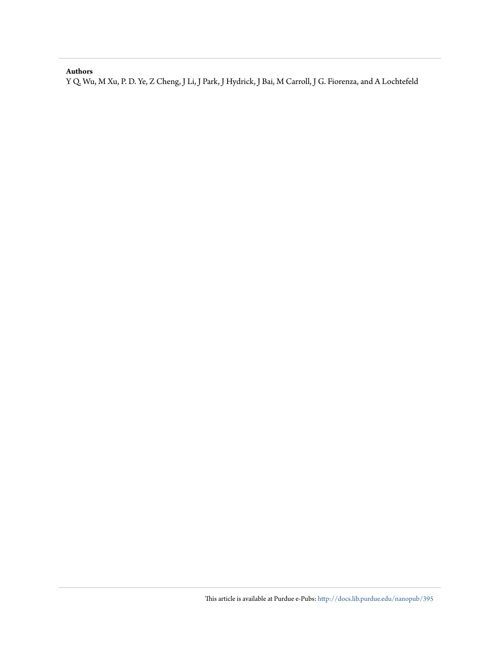### **Authors**

Y Q. Wu, M Xu, P. D. Ye, Z Cheng, J Li, J Park, J Hydrick, J Bai, M Carroll, J G. Fiorenza, and A Lochtefeld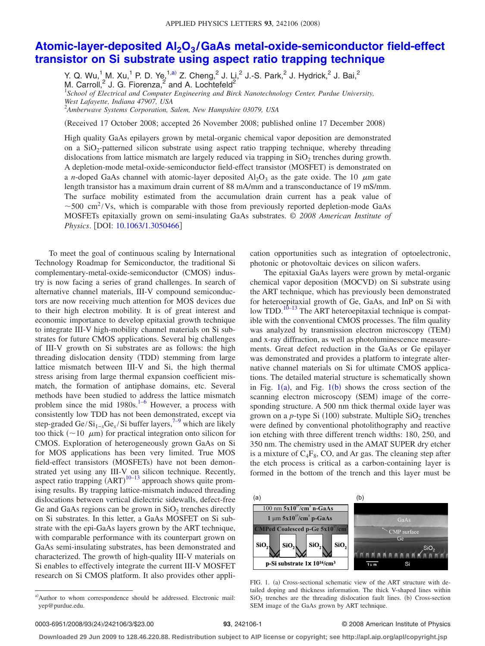## Atomic-layer-deposited Al<sub>2</sub>O<sub>3</sub>[/GaAs metal-oxide-semiconductor field-effect](http://dx.doi.org/10.1063/1.3050466) **[transistor on Si substrate using aspect ratio trapping technique](http://dx.doi.org/10.1063/1.3050466)**

Y. Q. Wu,<sup>1</sup> M. Xu,<sup>1</sup> P. D. Ye,<sup>1,a)</sup> Z. Cheng,<sup>2</sup> J. Li,<sup>2</sup> J.-S. Park,<sup>2</sup> J. Hydrick,<sup>2</sup> J. Bai,<sup>2</sup> M. Carroll,<sup>2</sup> J. G. Fiorenza,<sup>2</sup> and A. Lochtefeld<sup>2</sup><br><sup>1</sup>School of Electrical and Computer Engineering and Birck Nanotechnology Center, Purdue University, *West Lafayette, Indiana 47907, USA*

2 *Amberwave Systems Corporation, Salem, New Hampshire 03079, USA*

Received 17 October 2008; accepted 26 November 2008; published online 17 December 2008-

High quality GaAs epilayers grown by metal-organic chemical vapor deposition are demonstrated on a SiO2-patterned silicon substrate using aspect ratio trapping technique, whereby threading dislocations from lattice mismatch are largely reduced via trapping in  $SiO<sub>2</sub>$  trenches during growth. A depletion-mode metal-oxide-semiconductor field-effect transistor (MOSFET) is demonstrated on a *n*-doped GaAs channel with atomic-layer deposited  $A I_2 O_3$  as the gate oxide. The 10  $\mu$ m gate length transistor has a maximum drain current of 88 mA/mm and a transconductance of 19 mS/mm. The surface mobility estimated from the accumulation drain current has a peak value of  $\sim$  500 cm<sup>2</sup>/Vs, which is comparable with those from previously reported depletion-mode GaAs MOSFETs epitaxially grown on semi-insulating GaAs substrates. © *2008 American Institute of Physics.* [DOI: [10.1063/1.3050466](http://dx.doi.org/10.1063/1.3050466)]

To meet the goal of continuous scaling by International Technology Roadmap for Semiconductor, the traditional Si complementary-metal-oxide-semiconductor (CMOS) industry is now facing a series of grand challenges. In search of alternative channel materials, III-V compound semiconductors are now receiving much attention for MOS devices due to their high electron mobility. It is of great interest and economic importance to develop epitaxial growth technique to integrate III-V high-mobility channel materials on Si substrates for future CMOS applications. Several big challenges of III-V growth on Si substrates are as follows: the high threading dislocation density (TDD) stemming from large lattice mismatch between III-V and Si, the high thermal stress arising from large thermal expansion coefficient mismatch, the formation of antiphase domains, etc. Several methods have been studied to address the lattice mismatch problem since the mid  $1980s.<sup>1-6</sup>$  However, a process with consistently low TDD has not been demonstrated, except via step-graded Ge/Si<sub>1−*x*</sub>Ge<sub>*x*</sub>/Si buffer layers,<sup>7–9</sup> which are likely too thick ( $\sim$ 10  $\mu$ m) for practical integration onto silicon for CMOS. Exploration of heterogeneously grown GaAs on Si for MOS applications has been very limited. True MOS field-effect transistors (MOSFETs) have not been demonstrated yet using any III-V on silicon technique. Recently, aspect ratio trapping  $(ART)^{10-13}$  approach shows quite promising results. By trapping lattice-mismatch induced threading dislocations between vertical dielectric sidewalls, defect-free Ge and GaAs regions can be grown in  $SiO<sub>2</sub>$  trenches directly on Si substrates. In this letter, a GaAs MOSFET on Si substrate with the epi-GaAs layers grown by the ART technique, with comparable performance with its counterpart grown on GaAs semi-insulating substrates, has been demonstrated and characterized. The growth of high-quality III-V materials on Si enables to effectively integrate the current III-V MOSFET research on Si CMOS platform. It also provides other application opportunities such as integration of optoelectronic, photonic or photovoltaic devices on silicon wafers.

The epitaxial GaAs layers were grown by metal-organic chemical vapor deposition (MOCVD) on Si substrate using the ART technique, which has previously been demonstrated for heteroepitaxial growth of Ge, GaAs, and InP on Si with low TDD.<sup>10–13</sup> The ART heteroepitaxial technique is compatible with the conventional CMOS processes. The film quality was analyzed by transmission electron microscopy (TEM) and x-ray diffraction, as well as photoluminescence measurements. Great defect reduction in the GaAs or Ge epilayer was demonstrated and provides a platform to integrate alternative channel materials on Si for ultimate CMOS applications. The detailed material structure is schematically shown in Fig.  $1(a)$ , and Fig.  $1(b)$  shows the cross section of the scanning electron microscopy (SEM) image of the corresponding structure. A 500 nm thick thermal oxide layer was grown on a *p*-type Si (100) substrate. Multiple SiO<sub>2</sub> trenches were defined by conventional photolithography and reactive ion etching with three different trench widths: 180, 250, and 350 nm. The chemistry used in the AMAT SUPER dry etcher is a mixture of  $C_4F_8$ , CO, and Ar gas. The cleaning step after the etch process is critical as a carbon-containing layer is formed in the bottom of the trench and this layer must be



FIG. 1. (a) Cross-sectional schematic view of the ART structure with detailed doping and thickness information. The thick V-shaped lines within  $SiO<sub>2</sub>$  trenches are the threading dislocation fault lines. (b) Cross-section SEM image of the GaAs grown by ART technique.

#### **93**, 242106-1 © 2008 American Institute of Physics

**Downloaded 29 Jun 2009 to 128.46.220.88. Redistribution subject to AIP license or copyright; see http://apl.aip.org/apl/copyright.jsp**

a)Author to whom correspondence should be addressed. Electronic mail: yep@purdue.edu.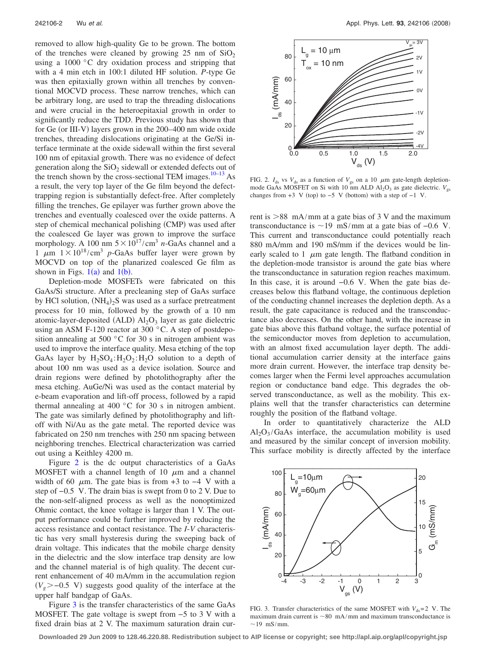removed to allow high-quality Ge to be grown. The bottom of the trenches were cleaned by growing  $25 \text{ nm}$  of  $SiO<sub>2</sub>$ using a 1000 °C dry oxidation process and stripping that with a 4 min etch in 100:1 diluted HF solution. *P*-type Ge was then epitaxially grown within all trenches by conventional MOCVD process. These narrow trenches, which can be arbitrary long, are used to trap the threading dislocations and were crucial in the heteroepitaxial growth in order to significantly reduce the TDD. Previous study has shown that for Ge (or III-V) layers grown in the 200–400 nm wide oxide trenches, threading dislocations originating at the Ge/Si interface terminate at the oxide sidewall within the first several 100 nm of epitaxial growth. There was no evidence of defect generation along the  $SiO<sub>2</sub>$  sidewall or extended defects out of the trench shown by the cross-sectional TEM images.<sup>10–13</sup> As a result, the very top layer of the Ge film beyond the defecttrapping region is substantially defect-free. After completely filling the trenches, Ge epilayer was further grown above the trenches and eventually coalesced over the oxide patterns. A step of chemical mechanical polishing (CMP) was used after the coalesced Ge layer was grown to improve the surface morphology. A 100 nm  $5 \times 10^{17} / \text{cm}^3$  *n*-GaAs channel and a 1  $\mu$ m 1×10<sup>18</sup>/cm<sup>3</sup> *p*-GaAs buffer layer were grown by MOCVD on top of the planarized coalesced Ge film as shown in Figs.  $1(a)$  and  $1(b)$ .

Depletion-mode MOSFETs were fabricated on this GaAs/Si structure. After a precleaning step of GaAs surface by HCl solution,  $(NH_4)_2S$  was used as a surface pretreatment process for 10 min, followed by the growth of a 10 nm atomic-layer-deposited (ALD)  $\text{Al}_2\text{O}_3$  layer as gate dielectric using an ASM F-120 reactor at 300 °C. A step of postdeposition annealing at 500 °C for 30 s in nitrogen ambient was used to improve the interface quality. Mesa etching of the top GaAs layer by  $H_2SO_4$ : $H_2O_2$ : $H_2O_2$  solution to a depth of about 100 nm was used as a device isolation. Source and drain regions were defined by photolithography after the mesa etching. AuGe/Ni was used as the contact material by e-beam evaporation and lift-off process, followed by a rapid thermal annealing at 400 °C for 30 s in nitrogen ambient. The gate was similarly defined by photolithography and liftoff with Ni/Au as the gate metal. The reported device was fabricated on 250 nm trenches with 250 nm spacing between neighboring trenches. Electrical characterization was carried out using a Keithley 4200 m.

Figure 2 is the dc output characteristics of a GaAs MOSFET with a channel length of 10  $\mu$ m and a channel width of 60  $\mu$ m. The gate bias is from +3 to −4 V with a step of −0.5 V. The drain bias is swept from 0 to 2 V. Due to the non-self-aligned process as well as the nonoptimized Ohmic contact, the knee voltage is larger than 1 V. The output performance could be further improved by reducing the access resistance and contact resistance. The *I*-*V* characteristic has very small hysteresis during the sweeping back of drain voltage. This indicates that the mobile charge density in the dielectric and the slow interface trap density are low and the channel material is of high quality. The decent current enhancement of 40 mA/mm in the accumulation region  $(V<sub>g</sub>$  > -0.5 V) suggests good quality of the interface at the upper half bandgap of GaAs.

Figure 3 is the transfer characteristics of the same GaAs MOSFET. The gate voltage is swept from −5 to 3 V with a fixed drain bias at 2 V. The maximum saturation drain cur-



FIG. 2.  $I_{ds}$  vs  $V_{ds}$  as a function of  $V_{gs}$  on a 10  $\mu$ m gate-length depletionmode GaAs MOSFET on Si with 10 nm ALD  $Al_2O_3$  as gate dielectric.  $V_{gs}$ changes from  $+3 \,$  V (top) to  $-5 \,$  V (bottom) with a step of  $-1 \,$  V.

rent is  $>88$  mA/mm at a gate bias of 3 V and the maximum transconductance is  $\sim$ 19 mS/mm at a gate bias of  $-0.6$  V. This current and transconductance could potentially reach 880 mA/mm and 190 mS/mm if the devices would be linearly scaled to 1  $\mu$ m gate length. The flatband condition in the depletion-mode transistor is around the gate bias where the transconductance in saturation region reaches maximum. In this case, it is around −0.6 V. When the gate bias decreases below this flatband voltage, the continuous depletion of the conducting channel increases the depletion depth. As a result, the gate capacitance is reduced and the transconductance also decreases. On the other hand, with the increase in gate bias above this flatband voltage, the surface potential of the semiconductor moves from depletion to accumulation, with an almost fixed accumulation layer depth. The additional accumulation carrier density at the interface gains more drain current. However, the interface trap density becomes larger when the Fermi level approaches accumulation region or conductance band edge. This degrades the observed transconductance, as well as the mobility. This explains well that the transfer characteristics can determine roughly the position of the flatband voltage.

In order to quantitatively characterize the ALD  $Al_2O_3/GaAs$  interface, the accumulation mobility is used and measured by the similar concept of inversion mobility. This surface mobility is directly affected by the interface



FIG. 3. Transfer characteristics of the same MOSFET with  $V_{ds}$ = 2 V. The maximum drain current is  $\sim 80$  mA/mm and maximum transconductance is  $\sim$ 19 mS/mm.

**Downloaded 29 Jun 2009 to 128.46.220.88. Redistribution subject to AIP license or copyright; see http://apl.aip.org/apl/copyright.jsp**